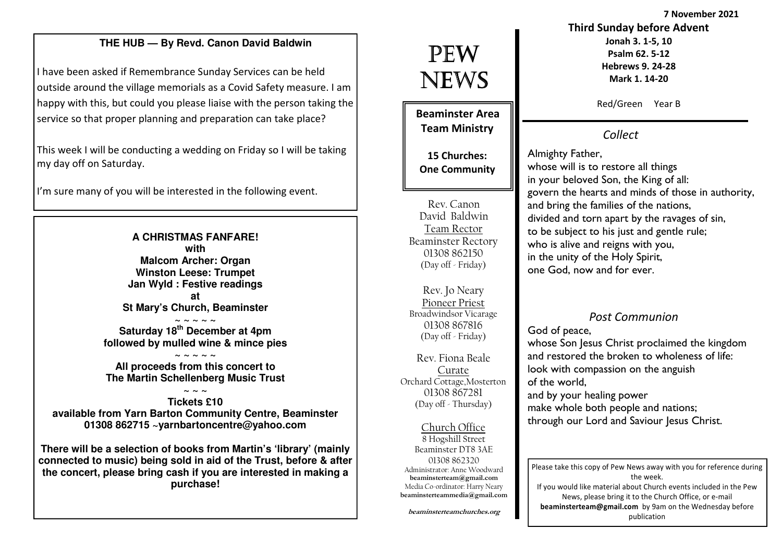7 November 2021

#### **THE HUB — By Revd. Canon David Baldwin**

I have been asked if Remembrance Sunday Services can be held outside around the village memorials as a Covid Safety measure. I am happy with this, but could you please liaise with the person taking the service so that proper planning and preparation can take place?

This week I will be conducting a wedding on Friday so I will be taking my day off on Saturday.

I'm sure many of you will be interested in the following event.

#### **A CHRISTMAS FANFARE! with Malcom Archer: Organ Winston Leese: Trumpet Jan Wyld : Festive readings at St Mary's Church, Beaminster**

**~ ~ ~ ~ ~ Saturday 18th December at 4pm followed by mulled wine & mince pies** 

**~ ~ ~ ~ ~ All proceeds from this concert to The Martin Schellenberg Music Trust** 

#### **~ ~ ~ Tickets £10 available from Yarn Barton Community Centre, Beaminster 01308 862715 ~yarnbartoncentre@yahoo.com**

**There will be a selection of books from Martin's 'library' (mainly connected to music) being sold in aid of the Trust, before & after the concert, please bring cash if you are interested in making a purchase!** 

# PEW NEWS

Beaminster Area Team Ministry

15 Churches: One Community

Rev. Canon David Baldwin Team Rector Beaminster Rectory 01308 862150 (Day off - Friday)

Rev. Jo Neary Pioneer Priest Broadwindsor Vicarage 01308 867816 (Day off - Friday)

Rev. Fiona Beale Curate Orchard Cottage,Mosterton 01308 867281(Day off - Thursday)

Church Office 8 Hogshill Street Beaminster DT8 3AE 01308 862320 Administrator: Anne Woodward beaminsterteam@gmail.com Media Co-ordinator: Harry Nearybeaminsterteammedia@gmail.com Red/Green Year B

Third Sunday before AdventJonah 3. 1-5, 10 Psalm 62. 5-12 Hebrews 9. 24-28 Mark 1. 14-20

Collect

Almighty Father, whose will is to restore all things in your beloved Son, the King of all: govern the hearts and minds of those in authority, and bring the families of the nations, divided and torn apart by the ravages of sin, to be subject to his just and gentle rule; who is alive and reigns with you, in the unity of the Holy Spirit, one God, now and for ever.

### Post Communion

#### God of peace,

 whose Son Jesus Christ proclaimed the kingdom and restored the broken to wholeness of life: look with compassion on the anguish of the world, and by your healing power make whole both people and nations; through our Lord and Saviour Jesus Christ.

Please take this copy of Pew News away with you for reference during the week. If you would like material about Church events included in the Pew News, please bring it to the Church Office, or e-mail beaminsterteam@gmail.com by 9am on the Wednesday before publication

beaminsterteamchurches.org